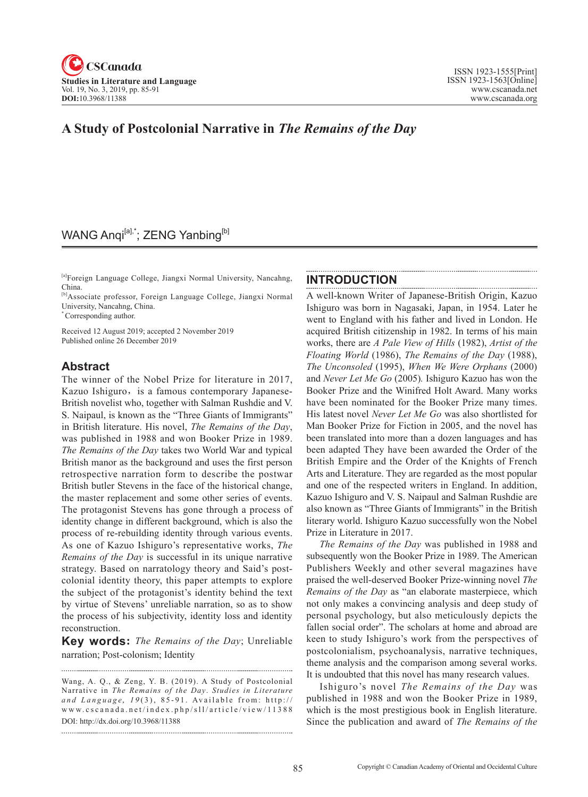

# **A study of Postcolonial Narrative in** *The Remains of the Day*

## WANG Anqi<sup>[a],\*</sup>; ZENG Yanbing<sup>[b]</sup>

[a]Foreign Language College, Jiangxi Normal University, Nancahng, China.

[b]Associate professor, Foreign Language College, Jiangxi Normal University, Nancahng, China.

\* Corresponding author.

Received 12 August 2019; accepted 2 November 2019 Published online 26 December 2019

#### **Abstract**

The winner of the Nobel Prize for literature in 2017, Kazuo Ishiguro, is a famous contemporary Japanese-British novelist who, together with Salman Rushdie and V. S. Naipaul, is known as the "Three Giants of Immigrants" in British literature. His novel, *The Remains of the Day*, was published in 1988 and won Booker Prize in 1989. *The Remains of the Day* takes two World War and typical British manor as the background and uses the first person retrospective narration form to describe the postwar British butler Stevens in the face of the historical change, the master replacement and some other series of events. The protagonist Stevens has gone through a process of identity change in different background, which is also the process of re-rebuilding identity through various events. As one of Kazuo Ishiguro's representative works, *The Remains of the Day* is successful in its unique narrative strategy. Based on narratology theory and Said's postcolonial identity theory, this paper attempts to explore the subject of the protagonist's identity behind the text by virtue of Stevens' unreliable narration, so as to show the process of his subjectivity, identity loss and identity reconstruction.

**Key words:** *The Remains of the Day*; Unreliable narration; Post-colonism; Identity

#### **INTRODUCTION**

A well-known Writer of Japanese-British Origin, Kazuo Ishiguro was born in Nagasaki, Japan, in 1954. Later he went to England with his father and lived in London. He acquired British citizenship in 1982. In terms of his main works, there are *A Pale View of Hills* (1982), *Artist of the Floating World* (1986), *The Remains of the Day* (1988), *The Unconsoled* (1995), *When We Were Orphans* (2000) and *Never Let Me Go* (2005)*.* Ishiguro Kazuo has won the Booker Prize and the Winifred Holt Award. Many works have been nominated for the Booker Prize many times. His latest novel *Never Let Me Go* was also shortlisted for Man Booker Prize for Fiction in 2005, and the novel has been translated into more than a dozen languages and has been adapted They have been awarded the Order of the British Empire and the Order of the Knights of French Arts and Literature. They are regarded as the most popular and one of the respected writers in England. In addition, Kazuo Ishiguro and V. S. Naipaul and Salman Rushdie are also known as "Three Giants of Immigrants" in the British literary world. Ishiguro Kazuo successfully won the Nobel Prize in Literature in 2017.

*The Remains of the Day* was published in 1988 and subsequently won the Booker Prize in 1989. The American Publishers Weekly and other several magazines have praised the well-deserved Booker Prize-winning novel *The Remains of the Day* as "an elaborate masterpiece, which not only makes a convincing analysis and deep study of personal psychology, but also meticulously depicts the fallen social order". The scholars at home and abroad are keen to study Ishiguro's work from the perspectives of postcolonialism, psychoanalysis, narrative techniques, theme analysis and the comparison among several works. It is undoubted that this novel has many research values.

Ishiguro's novel *The Remains of the Day* was published in 1988 and won the Booker Prize in 1989, which is the most prestigious book in English literature. Since the publication and award of *The Remains of the* 

Wang, A. Q., & Zeng, Y. B. (2019). A study of Postcolonial Narrative in *The Remains of the Day*. *Studies in Literature*  and Language, 19(3), 85-91. Available from: http:// www.cscanada.net/index.php/sll/article/view/ 1 1 3 8 8 DOI: http://dx.doi.org/10.3968/11388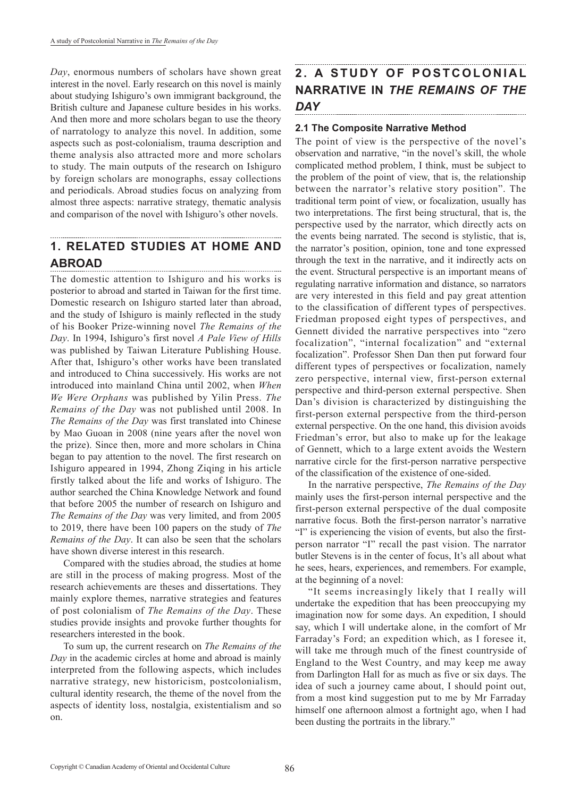*Day*, enormous numbers of scholars have shown great interest in the novel. Early research on this novel is mainly about studying Ishiguro's own immigrant background, the British culture and Japanese culture besides in his works. And then more and more scholars began to use the theory of narratology to analyze this novel. In addition, some aspects such as post-colonialism, trauma description and theme analysis also attracted more and more scholars to study. The main outputs of the research on Ishiguro by foreign scholars are monographs, essay collections and periodicals. Abroad studies focus on analyzing from almost three aspects: narrative strategy, thematic analysis and comparison of the novel with Ishiguro's other novels.

# **1. RELATED STUDIES AT HOME AND ABROAD**

The domestic attention to Ishiguro and his works is posterior to abroad and started in Taiwan for the first time. Domestic research on Ishiguro started later than abroad, and the study of Ishiguro is mainly reflected in the study of his Booker Prize-winning novel *The Remains of the Day*. In 1994, Ishiguro's first novel *A Pale View of Hills* was published by Taiwan Literature Publishing House. After that, Ishiguro's other works have been translated and introduced to China successively. His works are not introduced into mainland China until 2002, when *When We Were Orphans* was published by Yilin Press. *The Remains of the Day* was not published until 2008. In *The Remains of the Day* was first translated into Chinese by Mao Guoan in 2008 (nine years after the novel won the prize). Since then, more and more scholars in China began to pay attention to the novel. The first research on Ishiguro appeared in 1994, Zhong Ziqing in his article firstly talked about the life and works of Ishiguro. The author searched the China Knowledge Network and found that before 2005 the number of research on Ishiguro and *The Remains of the Day* was very limited, and from 2005 to 2019, there have been 100 papers on the study of *The Remains of the Day*. It can also be seen that the scholars have shown diverse interest in this research.

Compared with the studies abroad, the studies at home are still in the process of making progress. Most of the research achievements are theses and dissertations. They mainly explore themes, narrative strategies and features of post colonialism of *The Remains of the Day*. These studies provide insights and provoke further thoughts for researchers interested in the book.

To sum up, the current research on *The Remains of the Day* in the academic circles at home and abroad is mainly interpreted from the following aspects, which includes narrative strategy, new historicism, postcolonialism, cultural identity research, the theme of the novel from the aspects of identity loss, nostalgia, existentialism and so on.

#### **2. A STUDY OF POSTCOLONIAL NARRATIVE IN** *THE REMAINS OF THE DAY*

### **2.1 The Composite Narrative Method**

The point of view is the perspective of the novel's observation and narrative, "in the novel's skill, the whole complicated method problem, I think, must be subject to the problem of the point of view, that is, the relationship between the narrator's relative story position". The traditional term point of view, or focalization, usually has two interpretations. The first being structural, that is, the perspective used by the narrator, which directly acts on the events being narrated. The second is stylistic, that is, the narrator's position, opinion, tone and tone expressed through the text in the narrative, and it indirectly acts on the event. Structural perspective is an important means of regulating narrative information and distance, so narrators are very interested in this field and pay great attention to the classification of different types of perspectives. Friedman proposed eight types of perspectives, and Gennett divided the narrative perspectives into "zero focalization", "internal focalization" and "external focalization". Professor Shen Dan then put forward four different types of perspectives or focalization, namely zero perspective, internal view, first-person external perspective and third-person external perspective. Shen Dan's division is characterized by distinguishing the first-person external perspective from the third-person external perspective. On the one hand, this division avoids Friedman's error, but also to make up for the leakage of Gennett, which to a large extent avoids the Western narrative circle for the first-person narrative perspective of the classification of the existence of one-sided.

In the narrative perspective, *The Remains of the Day* mainly uses the first-person internal perspective and the first-person external perspective of the dual composite narrative focus. Both the first-person narrator's narrative "I" is experiencing the vision of events, but also the firstperson narrator "I" recall the past vision. The narrator butler Stevens is in the center of focus, It's all about what he sees, hears, experiences, and remembers. For example, at the beginning of a novel:

"It seems increasingly likely that I really will undertake the expedition that has been preoccupying my imagination now for some days. An expedition, I should say, which I will undertake alone, in the comfort of Mr Farraday's Ford; an expedition which, as I foresee it, will take me through much of the finest countryside of England to the West Country, and may keep me away from Darlington Hall for as much as five or six days. The idea of such a journey came about, I should point out, from a most kind suggestion put to me by Mr Farraday himself one afternoon almost a fortnight ago, when I had been dusting the portraits in the library."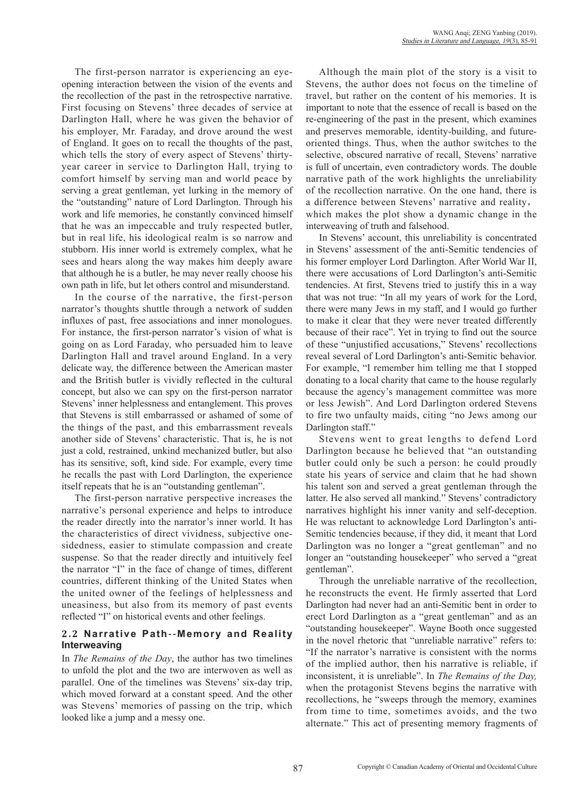The first-person narrator is experiencing an eyeopening interaction between the vision of the events and the recollection of the past in the retrospective narrative. First focusing on Stevens' three decades of service at Darlington Hall, where he was given the behavior of his employer, Mr. Faraday, and drove around the west of England. It goes on to recall the thoughts of the past, which tells the story of every aspect of Stevens' thirtyyear career in service to Darlington Hall, trying to comfort himself by serving man and world peace by serving a great gentleman, yet lurking in the memory of the "outstanding" nature of Lord Darlington. Through his work and life memories, he constantly convinced himself that he was an impeccable and truly respected butler, but in real life, his ideological realm is so narrow and stubborn. His inner world is extremely complex, what he sees and hears along the way makes him deeply aware that although he is a butler, he may never really choose his own path in life, but let others control and misunderstand.

In the course of the narrative, the first-person narrator's thoughts shuttle through a network of sudden influxes of past, free associations and inner monologues. For instance, the first-person narrator's vision of what is going on as Lord Faraday, who persuaded him to leave Darlington Hall and travel around England. In a very delicate way, the difference between the American master and the British butler is vividly reflected in the cultural concept, but also we can spy on the first-person narrator Stevens' inner helplessness and entanglement. This proves that Stevens is still embarrassed or ashamed of some of the things of the past, and this embarrassment reveals another side of Stevens' characteristic. That is, he is not just a cold, restrained, unkind mechanized butler, but also has its sensitive, soft, kind side. For example, every time he recalls the past with Lord Darlington, the experience itself repeats that he is an "outstanding gentleman".

The first-person narrative perspective increases the narrative's personal experience and helps to introduce the reader directly into the narrator's inner world. It has the characteristics of direct vividness, subjective onesidedness, easier to stimulate compassion and create suspense. So that the reader directly and intuitively feel the narrator "I" in the face of change of times, different countries, different thinking of the United States when the united owner of the feelings of helplessness and uneasiness, but also from its memory of past events reflected "I" on historical events and other feelings.

#### **2.2 Narrative Path- -Memory and Reality Interweaving**

In *The Remains of the Day*, the author has two timelines to unfold the plot and the two are interwoven as well as parallel. One of the timelines was Stevens' six-day trip, which moved forward at a constant speed. And the other was Stevens' memories of passing on the trip, which looked like a jump and a messy one.

Although the main plot of the story is a visit to Stevens, the author does not focus on the timeline of travel, but rather on the content of his memories. It is important to note that the essence of recall is based on the re-engineering of the past in the present, which examines and preserves memorable, identity-building, and futureoriented things. Thus, when the author switches to the selective, obscured narrative of recall, Stevens' narrative is full of uncertain, even contradictory words. The double narrative path of the work highlights the unreliability of the recollection narrative. On the one hand, there is a difference between Stevens' narrative and reality, which makes the plot show a dynamic change in the interweaving of truth and falsehood.

In Stevens' account, this unreliability is concentrated in Stevens' assessment of the anti-Semitic tendencies of his former employer Lord Darlington. After World War II, there were accusations of Lord Darlington's anti-Semitic tendencies. At first, Stevens tried to justify this in a way that was not true: "In all my years of work for the Lord, there were many Jews in my staff, and I would go further to make it clear that they were never treated differently because of their race". Yet in trying to find out the source of these "unjustified accusations," Stevens' recollections reveal several of Lord Darlington's anti-Semitic behavior. For example, "I remember him telling me that I stopped donating to a local charity that came to the house regularly because the agency's management committee was more or less Jewish". And Lord Darlington ordered Stevens to fire two unfaulty maids, citing "no Jews among our Darlington staff."

Stevens went to great lengths to defend Lord Darlington because he believed that "an outstanding butler could only be such a person: he could proudly state his years of service and claim that he had shown his talent son and served a great gentleman through the latter. He also served all mankind." Stevens' contradictory narratives highlight his inner vanity and self-deception. He was reluctant to acknowledge Lord Darlington's anti-Semitic tendencies because, if they did, it meant that Lord Darlington was no longer a "great gentleman" and no longer an "outstanding housekeeper" who served a "great gentleman".

Through the unreliable narrative of the recollection, he reconstructs the event. He firmly asserted that Lord Darlington had never had an anti-Semitic bent in order to erect Lord Darlington as a "great gentleman" and as an "outstanding housekeeper". Wayne Booth once suggested in the novel rhetoric that "unreliable narrative" refers to: "If the narrator's narrative is consistent with the norms of the implied author, then his narrative is reliable, if inconsistent, it is unreliable". In *The Remains of the Day,* when the protagonist Stevens begins the narrative with recollections, he "sweeps through the memory, examines from time to time, sometimes avoids, and the two alternate." This act of presenting memory fragments of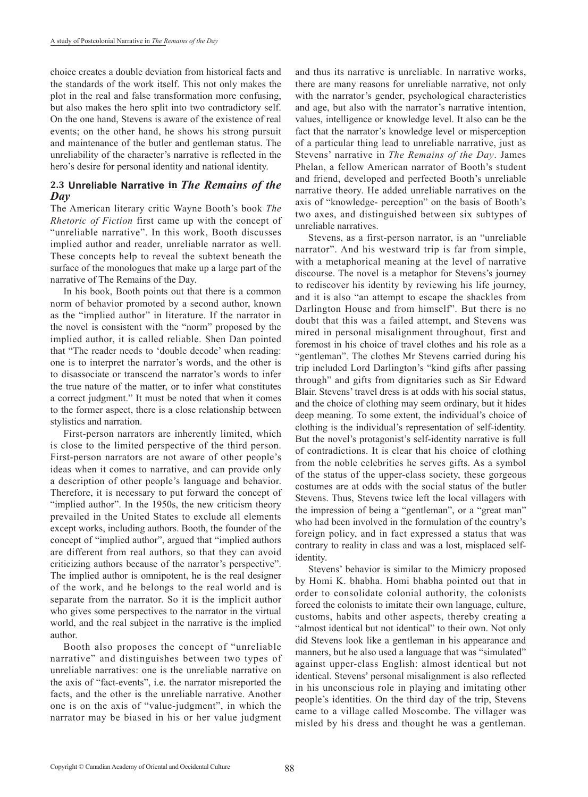choice creates a double deviation from historical facts and the standards of the work itself. This not only makes the plot in the real and false transformation more confusing, but also makes the hero split into two contradictory self. On the one hand, Stevens is aware of the existence of real events; on the other hand, he shows his strong pursuit and maintenance of the butler and gentleman status. The unreliability of the character's narrative is reflected in the hero's desire for personal identity and national identity.

#### **2.3 Unreliable Narrative in** *The Remains of the Day*

The American literary critic Wayne Booth's book *The Rhetoric of Fiction* first came up with the concept of "unreliable narrative". In this work, Booth discusses implied author and reader, unreliable narrator as well. These concepts help to reveal the subtext beneath the surface of the monologues that make up a large part of the narrative of The Remains of the Day.

In his book, Booth points out that there is a common norm of behavior promoted by a second author, known as the "implied author" in literature. If the narrator in the novel is consistent with the "norm" proposed by the implied author, it is called reliable. Shen Dan pointed that "The reader needs to 'double decode' when reading: one is to interpret the narrator's words, and the other is to disassociate or transcend the narrator's words to infer the true nature of the matter, or to infer what constitutes a correct judgment." It must be noted that when it comes to the former aspect, there is a close relationship between stylistics and narration.

First-person narrators are inherently limited, which is close to the limited perspective of the third person. First-person narrators are not aware of other people's ideas when it comes to narrative, and can provide only a description of other people's language and behavior. Therefore, it is necessary to put forward the concept of "implied author". In the 1950s, the new criticism theory prevailed in the United States to exclude all elements except works, including authors. Booth, the founder of the concept of "implied author", argued that "implied authors are different from real authors, so that they can avoid criticizing authors because of the narrator's perspective". The implied author is omnipotent, he is the real designer of the work, and he belongs to the real world and is separate from the narrator. So it is the implicit author who gives some perspectives to the narrator in the virtual world, and the real subject in the narrative is the implied author.

Booth also proposes the concept of "unreliable narrative" and distinguishes between two types of unreliable narratives: one is the unreliable narrative on the axis of "fact-events", i.e. the narrator misreported the facts, and the other is the unreliable narrative. Another one is on the axis of "value-judgment", in which the narrator may be biased in his or her value judgment and thus its narrative is unreliable. In narrative works, there are many reasons for unreliable narrative, not only with the narrator's gender, psychological characteristics and age, but also with the narrator's narrative intention, values, intelligence or knowledge level. It also can be the fact that the narrator's knowledge level or misperception of a particular thing lead to unreliable narrative, just as Stevens' narrative in *The Remains of the Day*. James Phelan, a fellow American narrator of Booth's student and friend, developed and perfected Booth's unreliable narrative theory. He added unreliable narratives on the axis of "knowledge- perception" on the basis of Booth's two axes, and distinguished between six subtypes of unreliable narratives.

Stevens, as a first-person narrator, is an "unreliable narrator". And his westward trip is far from simple, with a metaphorical meaning at the level of narrative discourse. The novel is a metaphor for Stevens's journey to rediscover his identity by reviewing his life journey, and it is also "an attempt to escape the shackles from Darlington House and from himself". But there is no doubt that this was a failed attempt, and Stevens was mired in personal misalignment throughout, first and foremost in his choice of travel clothes and his role as a "gentleman". The clothes Mr Stevens carried during his trip included Lord Darlington's "kind gifts after passing through" and gifts from dignitaries such as Sir Edward Blair. Stevens' travel dress is at odds with his social status, and the choice of clothing may seem ordinary, but it hides deep meaning. To some extent, the individual's choice of clothing is the individual's representation of self-identity. But the novel's protagonist's self-identity narrative is full of contradictions. It is clear that his choice of clothing from the noble celebrities he serves gifts. As a symbol of the status of the upper-class society, these gorgeous costumes are at odds with the social status of the butler Stevens. Thus, Stevens twice left the local villagers with the impression of being a "gentleman", or a "great man" who had been involved in the formulation of the country's foreign policy, and in fact expressed a status that was contrary to reality in class and was a lost, misplaced selfidentity.

Stevens' behavior is similar to the Mimicry proposed by Homi K. bhabha. Homi bhabha pointed out that in order to consolidate colonial authority, the colonists forced the colonists to imitate their own language, culture, customs, habits and other aspects, thereby creating a "almost identical but not identical" to their own. Not only did Stevens look like a gentleman in his appearance and manners, but he also used a language that was "simulated" against upper-class English: almost identical but not identical. Stevens' personal misalignment is also reflected in his unconscious role in playing and imitating other people's identities. On the third day of the trip, Stevens came to a village called Moscombe. The villager was misled by his dress and thought he was a gentleman.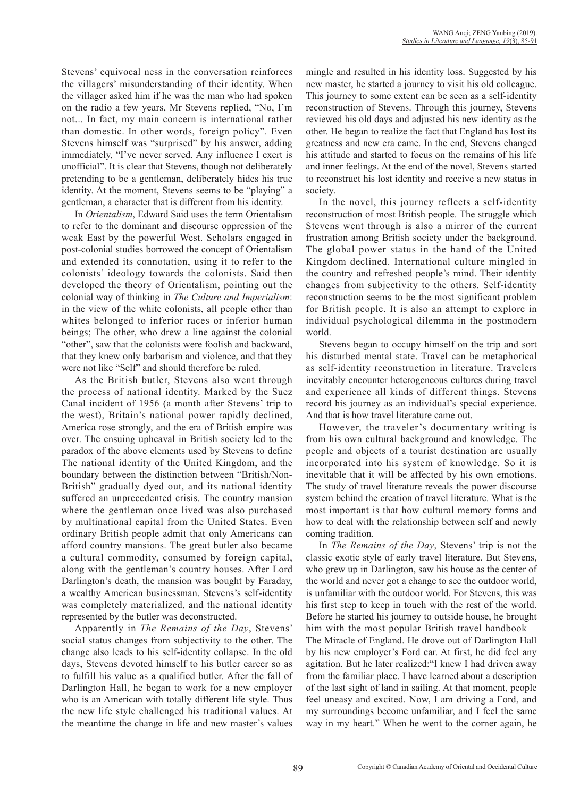Stevens' equivocal ness in the conversation reinforces the villagers' misunderstanding of their identity. When the villager asked him if he was the man who had spoken on the radio a few years, Mr Stevens replied, "No, I'm not... In fact, my main concern is international rather than domestic. In other words, foreign policy". Even Stevens himself was "surprised" by his answer, adding immediately, "I've never served. Any influence I exert is unofficial". It is clear that Stevens, though not deliberately pretending to be a gentleman, deliberately hides his true identity. At the moment, Stevens seems to be "playing" a gentleman, a character that is different from his identity.

In *Orientalism*, Edward Said uses the term Orientalism to refer to the dominant and discourse oppression of the weak East by the powerful West. Scholars engaged in post-colonial studies borrowed the concept of Orientalism and extended its connotation, using it to refer to the colonists' ideology towards the colonists. Said then developed the theory of Orientalism, pointing out the colonial way of thinking in *The Culture and Imperialism*: in the view of the white colonists, all people other than whites belonged to inferior races or inferior human beings; The other, who drew a line against the colonial "other", saw that the colonists were foolish and backward, that they knew only barbarism and violence, and that they were not like "Self" and should therefore be ruled.

As the British butler, Stevens also went through the process of national identity. Marked by the Suez Canal incident of 1956 (a month after Stevens' trip to the west), Britain's national power rapidly declined, America rose strongly, and the era of British empire was over. The ensuing upheaval in British society led to the paradox of the above elements used by Stevens to define The national identity of the United Kingdom, and the boundary between the distinction between "British/Non-British" gradually dyed out, and its national identity suffered an unprecedented crisis. The country mansion where the gentleman once lived was also purchased by multinational capital from the United States. Even ordinary British people admit that only Americans can afford country mansions. The great butler also became a cultural commodity, consumed by foreign capital, along with the gentleman's country houses. After Lord Darlington's death, the mansion was bought by Faraday, a wealthy American businessman. Stevens's self-identity was completely materialized, and the national identity represented by the butler was deconstructed.

Apparently in *The Remains of the Day*, Stevens' social status changes from subjectivity to the other. The change also leads to his self-identity collapse. In the old days, Stevens devoted himself to his butler career so as to fulfill his value as a qualified butler. After the fall of Darlington Hall, he began to work for a new employer who is an American with totally different life style. Thus the new life style challenged his traditional values. At the meantime the change in life and new master's values mingle and resulted in his identity loss. Suggested by his new master, he started a journey to visit his old colleague. This journey to some extent can be seen as a self-identity reconstruction of Stevens. Through this journey, Stevens reviewed his old days and adjusted his new identity as the other. He began to realize the fact that England has lost its greatness and new era came. In the end, Stevens changed his attitude and started to focus on the remains of his life and inner feelings. At the end of the novel, Stevens started to reconstruct his lost identity and receive a new status in society.

In the novel, this journey reflects a self-identity reconstruction of most British people. The struggle which Stevens went through is also a mirror of the current frustration among British society under the background. The global power status in the hand of the United Kingdom declined. International culture mingled in the country and refreshed people's mind. Their identity changes from subjectivity to the others. Self-identity reconstruction seems to be the most significant problem for British people. It is also an attempt to explore in individual psychological dilemma in the postmodern world.

Stevens began to occupy himself on the trip and sort his disturbed mental state. Travel can be metaphorical as self-identity reconstruction in literature. Travelers inevitably encounter heterogeneous cultures during travel and experience all kinds of different things. Stevens record his journey as an individual's special experience. And that is how travel literature came out.

However, the traveler's documentary writing is from his own cultural background and knowledge. The people and objects of a tourist destination are usually incorporated into his system of knowledge. So it is inevitable that it will be affected by his own emotions. The study of travel literature reveals the power discourse system behind the creation of travel literature. What is the most important is that how cultural memory forms and how to deal with the relationship between self and newly coming tradition.

In *The Remains of the Day*, Stevens' trip is not the classic exotic style of early travel literature. But Stevens, who grew up in Darlington, saw his house as the center of the world and never got a change to see the outdoor world, is unfamiliar with the outdoor world. For Stevens, this was his first step to keep in touch with the rest of the world. Before he started his journey to outside house, he brought him with the most popular British travel handbook— The Miracle of England. He drove out of Darlington Hall by his new employer's Ford car. At first, he did feel any agitation. But he later realized:"I knew I had driven away from the familiar place. I have learned about a description of the last sight of land in sailing. At that moment, people feel uneasy and excited. Now, I am driving a Ford, and my surroundings become unfamiliar, and I feel the same way in my heart." When he went to the corner again, he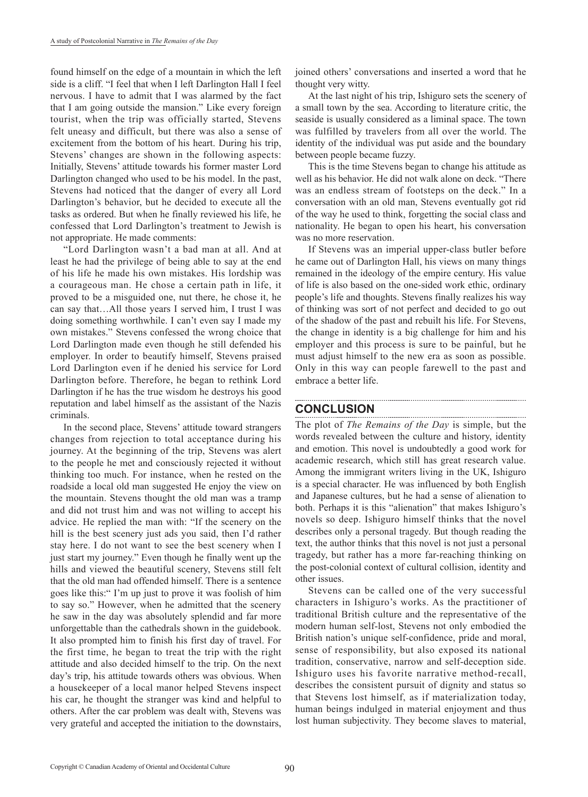found himself on the edge of a mountain in which the left side is a cliff. "I feel that when I left Darlington Hall I feel nervous. I have to admit that I was alarmed by the fact that I am going outside the mansion." Like every foreign tourist, when the trip was officially started, Stevens felt uneasy and difficult, but there was also a sense of excitement from the bottom of his heart. During his trip, Stevens' changes are shown in the following aspects: Initially, Stevens' attitude towards his former master Lord Darlington changed who used to be his model. In the past, Stevens had noticed that the danger of every all Lord Darlington's behavior, but he decided to execute all the tasks as ordered. But when he finally reviewed his life, he confessed that Lord Darlington's treatment to Jewish is not appropriate. He made comments:

"Lord Darlington wasn't a bad man at all. And at least he had the privilege of being able to say at the end of his life he made his own mistakes. His lordship was a courageous man. He chose a certain path in life, it proved to be a misguided one, nut there, he chose it, he can say that…All those years I served him, I trust I was doing something worthwhile. I can't even say I made my own mistakes." Stevens confessed the wrong choice that Lord Darlington made even though he still defended his employer. In order to beautify himself, Stevens praised Lord Darlington even if he denied his service for Lord Darlington before. Therefore, he began to rethink Lord Darlington if he has the true wisdom he destroys his good reputation and label himself as the assistant of the Nazis criminals.

In the second place, Stevens' attitude toward strangers changes from rejection to total acceptance during his journey. At the beginning of the trip, Stevens was alert to the people he met and consciously rejected it without thinking too much. For instance, when he rested on the roadside a local old man suggested He enjoy the view on the mountain. Stevens thought the old man was a tramp and did not trust him and was not willing to accept his advice. He replied the man with: "If the scenery on the hill is the best scenery just ads you said, then I'd rather stay here. I do not want to see the best scenery when I just start my journey." Even though he finally went up the hills and viewed the beautiful scenery, Stevens still felt that the old man had offended himself. There is a sentence goes like this:" I'm up just to prove it was foolish of him to say so." However, when he admitted that the scenery he saw in the day was absolutely splendid and far more unforgettable than the cathedrals shown in the guidebook. It also prompted him to finish his first day of travel. For the first time, he began to treat the trip with the right attitude and also decided himself to the trip. On the next day's trip, his attitude towards others was obvious. When a housekeeper of a local manor helped Stevens inspect his car, he thought the stranger was kind and helpful to others. After the car problem was dealt with, Stevens was very grateful and accepted the initiation to the downstairs, joined others' conversations and inserted a word that he thought very witty.

At the last night of his trip, Ishiguro sets the scenery of a small town by the sea. According to literature critic, the seaside is usually considered as a liminal space. The town was fulfilled by travelers from all over the world. The identity of the individual was put aside and the boundary between people became fuzzy.

This is the time Stevens began to change his attitude as well as his behavior. He did not walk alone on deck. "There was an endless stream of footsteps on the deck." In a conversation with an old man, Stevens eventually got rid of the way he used to think, forgetting the social class and nationality. He began to open his heart, his conversation was no more reservation.

If Stevens was an imperial upper-class butler before he came out of Darlington Hall, his views on many things remained in the ideology of the empire century. His value of life is also based on the one-sided work ethic, ordinary people's life and thoughts. Stevens finally realizes his way of thinking was sort of not perfect and decided to go out of the shadow of the past and rebuilt his life. For Stevens, the change in identity is a big challenge for him and his employer and this process is sure to be painful, but he must adjust himself to the new era as soon as possible. Only in this way can people farewell to the past and embrace a better life.

## **CONCLUSION**

The plot of *The Remains of the Day* is simple, but the words revealed between the culture and history, identity and emotion. This novel is undoubtedly a good work for academic research, which still has great research value. Among the immigrant writers living in the UK, Ishiguro is a special character. He was influenced by both English and Japanese cultures, but he had a sense of alienation to both. Perhaps it is this "alienation" that makes Ishiguro's novels so deep. Ishiguro himself thinks that the novel describes only a personal tragedy. But though reading the text, the author thinks that this novel is not just a personal tragedy, but rather has a more far-reaching thinking on the post-colonial context of cultural collision, identity and other issues.

Stevens can be called one of the very successful characters in Ishiguro's works. As the practitioner of traditional British culture and the representative of the modern human self-lost, Stevens not only embodied the British nation's unique self-confidence, pride and moral, sense of responsibility, but also exposed its national tradition, conservative, narrow and self-deception side. Ishiguro uses his favorite narrative method-recall, describes the consistent pursuit of dignity and status so that Stevens lost himself, as if materialization today, human beings indulged in material enjoyment and thus lost human subjectivity. They become slaves to material,